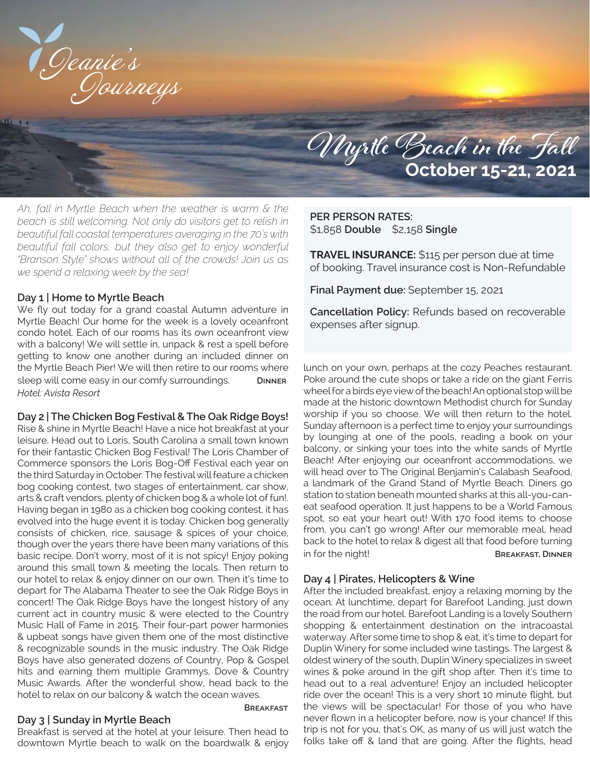

# **Myrtle Beach in the Fall October 15-21, 2021**

*Ah, fall in Myrtle Beach when the weather is warm & the beach is still welcoming. Not only do visitors get to relish in beautiful fall coastal temperatures averaging in the 70's with beautiful fall colors, but they also get to enjoy wonderful "Branson Style" shows without all of the crowds! Join us as we spend a relaxing week by the sea!*

#### **Day 1 | Home to Myrtle Beach**

We fly out today for a grand coastal Autumn adventure in Myrtle Beach! Our home for the week is a lovely oceanfront condo hotel. Each of our rooms has its own oceanfront view with a balcony! We will settle in, unpack & rest a spell before getting to know one another during an included dinner on the Myrtle Beach Pier! We will then retire to our rooms where sleep will come easy in our comfy surroundings. **Dinner** *Hotel: Avista Resort*

**Day 2 | The Chicken Bog Festival & The Oak Ridge Boys!**

Rise & shine in Myrtle Beach! Have a nice hot breakfast at your leisure. Head out to Loris, South Carolina a small town known for their fantastic Chicken Bog Festival! The Loris Chamber of Commerce sponsors the Loris Bog-Off Festival each year on the third Saturday in October. The festival will feature a chicken bog cooking contest, two stages of entertainment, car show, arts & craft vendors, plenty of chicken bog & a whole lot of fun!. Having began in 1980 as a chicken bog cooking contest, it has evolved into the huge event it is today. Chicken bog generally consists of chicken, rice, sausage & spices of your choice, though over the years there have been many variations of this basic recipe. Don't worry, most of it is not spicy! Enjoy poking around this small town & meeting the locals. Then return to our hotel to relax & enjoy dinner on our own. Then it's time to depart for The Alabama Theater to see the Oak Ridge Boys in concert! The Oak Ridge Boys have the longest history of any current act in country music & were elected to the Country Music Hall of Fame in 2015. Their four-part power harmonies & upbeat songs have given them one of the most distinctive & recognizable sounds in the music industry. The Oak Ridge Boys have also generated dozens of Country, Pop & Gospel hits and earning them multiple Grammys, Dove & Country Music Awards. After the wonderful show, head back to the hotel to relax on our balcony & watch the ocean waves.

## **Day 3 | Sunday in Myrtle Beach**

Breakfast is served at the hotel at your leisure. Then head to downtown Myrtle beach to walk on the boardwalk & enjoy

**Breakfast**

### **PER PERSON RATES:** \$1,858 **Double** \$2,158 **Single**

**TRAVEL INSURANCE:** \$115 per person due at time of booking. Travel insurance cost is Non-Refundable

**Final Payment due:** September 15, 2021

**Cancellation Policy:** Refunds based on recoverable expenses after signup.

lunch on your own, perhaps at the cozy Peaches restaurant. Poke around the cute shops or take a ride on the giant Ferris wheel for a birds eye view of the beach! An optional stop will be made at the historic downtown Methodist church for Sunday worship if you so choose. We will then return to the hotel. Sunday afternoon is a perfect time to enjoy your surroundings by lounging at one of the pools, reading a book on your balcony, or sinking your toes into the white sands of Myrtle Beach! After enjoying our oceanfront accommodations, we will head over to The Original Benjamin's Calabash Seafood, a landmark of the Grand Stand of Myrtle Beach. Diners go station to station beneath mounted sharks at this all-you-caneat seafood operation. It just happens to be a World Famous spot, so eat your heart out! With 170 food items to choose from, you can't go wrong! After our memorable meal, head back to the hotel to relax & digest all that food before turning in for the night! **Breakfast, Dinner** 

#### **Day 4 | Pirates, Helicopters & Wine**

After the included breakfast, enjoy a relaxing morning by the ocean. At lunchtime, depart for Barefoot Landing, just down the road from our hotel. Barefoot Landing is a lovely Southern shopping & entertainment destination on the intracoastal waterway. After some time to shop & eat, it's time to depart for Duplin Winery for some included wine tastings. The largest & oldest winery of the south, Duplin Winery specializes in sweet wines & poke around in the gift shop after. Then it's time to head out to a real adventure! Enjoy an included helicopter ride over the ocean! This is a very short 10 minute flight, but the views will be spectacular! For those of you who have never flown in a helicopter before, now is your chance! If this trip is not for you, that's OK, as many of us will just watch the folks take off & land that are going. After the flights, head